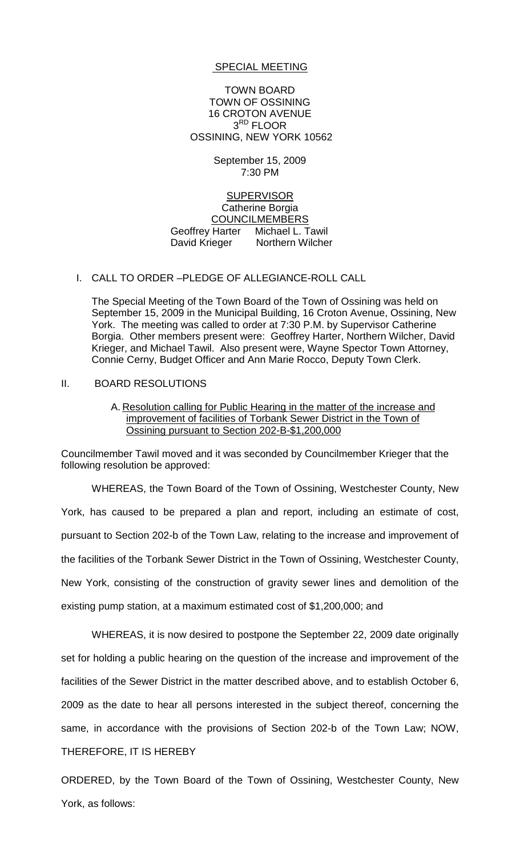#### SPECIAL MEETING

TOWN BOARD TOWN OF OSSINING 16 CROTON AVENUE 3<sup>RD</sup> FLOOR OSSINING, NEW YORK 10562

> September 15, 2009 7:30 PM

### **SUPERVISOR** Catherine Borgia COUNCILMEMBERS Geoffrey Harter Michael L. Tawil David Krieger Northern Wilcher

## I. CALL TO ORDER –PLEDGE OF ALLEGIANCE-ROLL CALL

The Special Meeting of the Town Board of the Town of Ossining was held on September 15, 2009 in the Municipal Building, 16 Croton Avenue, Ossining, New York. The meeting was called to order at 7:30 P.M. by Supervisor Catherine Borgia. Other members present were: Geoffrey Harter, Northern Wilcher, David Krieger, and Michael Tawil. Also present were, Wayne Spector Town Attorney, Connie Cerny, Budget Officer and Ann Marie Rocco, Deputy Town Clerk.

#### II. BOARD RESOLUTIONS

# A. Resolution calling for Public Hearing in the matter of the increase and improvement of facilities of Torbank Sewer District in the Town of Ossining pursuant to Section 202-B-\$1,200,000

Councilmember Tawil moved and it was seconded by Councilmember Krieger that the following resolution be approved:

WHEREAS, the Town Board of the Town of Ossining, Westchester County, New York, has caused to be prepared a plan and report, including an estimate of cost, pursuant to Section 202-b of the Town Law, relating to the increase and improvement of the facilities of the Torbank Sewer District in the Town of Ossining, Westchester County, New York, consisting of the construction of gravity sewer lines and demolition of the existing pump station, at a maximum estimated cost of \$1,200,000; and

WHEREAS, it is now desired to postpone the September 22, 2009 date originally set for holding a public hearing on the question of the increase and improvement of the facilities of the Sewer District in the matter described above, and to establish October 6, 2009 as the date to hear all persons interested in the subject thereof, concerning the same, in accordance with the provisions of Section 202-b of the Town Law; NOW, THEREFORE, IT IS HEREBY

ORDERED, by the Town Board of the Town of Ossining, Westchester County, New York, as follows: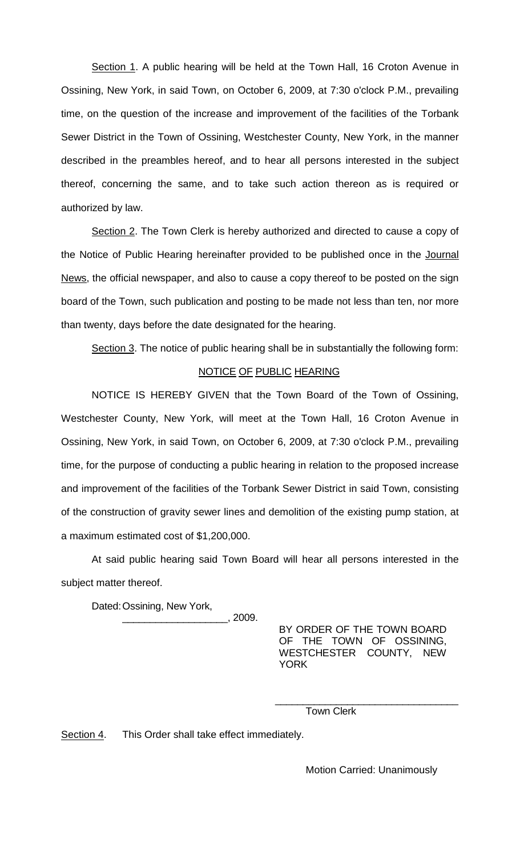Section 1. A public hearing will be held at the Town Hall, 16 Croton Avenue in Ossining, New York, in said Town, on October 6, 2009, at 7:30 o'clock P.M., prevailing time, on the question of the increase and improvement of the facilities of the Torbank Sewer District in the Town of Ossining, Westchester County, New York, in the manner described in the preambles hereof, and to hear all persons interested in the subject thereof, concerning the same, and to take such action thereon as is required or authorized by law.

Section 2. The Town Clerk is hereby authorized and directed to cause a copy of the Notice of Public Hearing hereinafter provided to be published once in the Journal News, the official newspaper, and also to cause a copy thereof to be posted on the sign board of the Town, such publication and posting to be made not less than ten, nor more than twenty, days before the date designated for the hearing.

Section 3. The notice of public hearing shall be in substantially the following form:

# NOTICE OF PUBLIC HEARING

NOTICE IS HEREBY GIVEN that the Town Board of the Town of Ossining, Westchester County, New York, will meet at the Town Hall, 16 Croton Avenue in Ossining, New York, in said Town, on October 6, 2009, at 7:30 o'clock P.M., prevailing time, for the purpose of conducting a public hearing in relation to the proposed increase and improvement of the facilities of the Torbank Sewer District in said Town, consisting of the construction of gravity sewer lines and demolition of the existing pump station, at a maximum estimated cost of \$1,200,000.

At said public hearing said Town Board will hear all persons interested in the subject matter thereof.

Dated:Ossining, New York,

 $\_$ , 2009.

BY ORDER OF THE TOWN BOARD OF THE TOWN OF OSSINING, WESTCHESTER COUNTY, NEW YORK

\_\_\_\_\_\_\_\_\_\_\_\_\_\_\_\_\_\_\_\_\_\_\_\_\_\_\_\_\_\_\_\_\_

Town Clerk

Section 4. This Order shall take effect immediately.

Motion Carried: Unanimously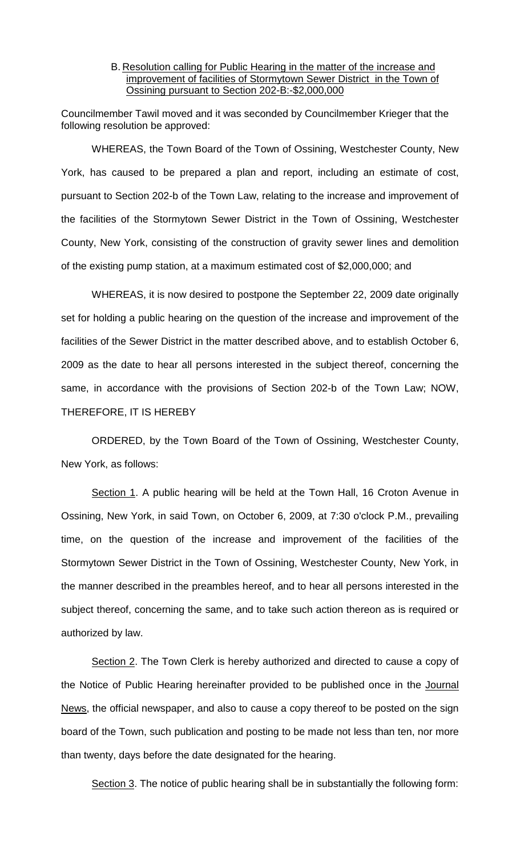## B. Resolution calling for Public Hearing in the matter of the increase and improvement of facilities of Stormytown Sewer District in the Town of Ossining pursuant to Section 202-B:-\$2,000,000

Councilmember Tawil moved and it was seconded by Councilmember Krieger that the following resolution be approved:

WHEREAS, the Town Board of the Town of Ossining, Westchester County, New York, has caused to be prepared a plan and report, including an estimate of cost, pursuant to Section 202-b of the Town Law, relating to the increase and improvement of the facilities of the Stormytown Sewer District in the Town of Ossining, Westchester County, New York, consisting of the construction of gravity sewer lines and demolition of the existing pump station, at a maximum estimated cost of \$2,000,000; and

WHEREAS, it is now desired to postpone the September 22, 2009 date originally set for holding a public hearing on the question of the increase and improvement of the facilities of the Sewer District in the matter described above, and to establish October 6, 2009 as the date to hear all persons interested in the subject thereof, concerning the same, in accordance with the provisions of Section 202-b of the Town Law; NOW, THEREFORE, IT IS HEREBY

ORDERED, by the Town Board of the Town of Ossining, Westchester County, New York, as follows:

Section 1. A public hearing will be held at the Town Hall, 16 Croton Avenue in Ossining, New York, in said Town, on October 6, 2009, at 7:30 o'clock P.M., prevailing time, on the question of the increase and improvement of the facilities of the Stormytown Sewer District in the Town of Ossining, Westchester County, New York, in the manner described in the preambles hereof, and to hear all persons interested in the subject thereof, concerning the same, and to take such action thereon as is required or authorized by law.

Section 2. The Town Clerk is hereby authorized and directed to cause a copy of the Notice of Public Hearing hereinafter provided to be published once in the Journal News, the official newspaper, and also to cause a copy thereof to be posted on the sign board of the Town, such publication and posting to be made not less than ten, nor more than twenty, days before the date designated for the hearing.

Section 3. The notice of public hearing shall be in substantially the following form: